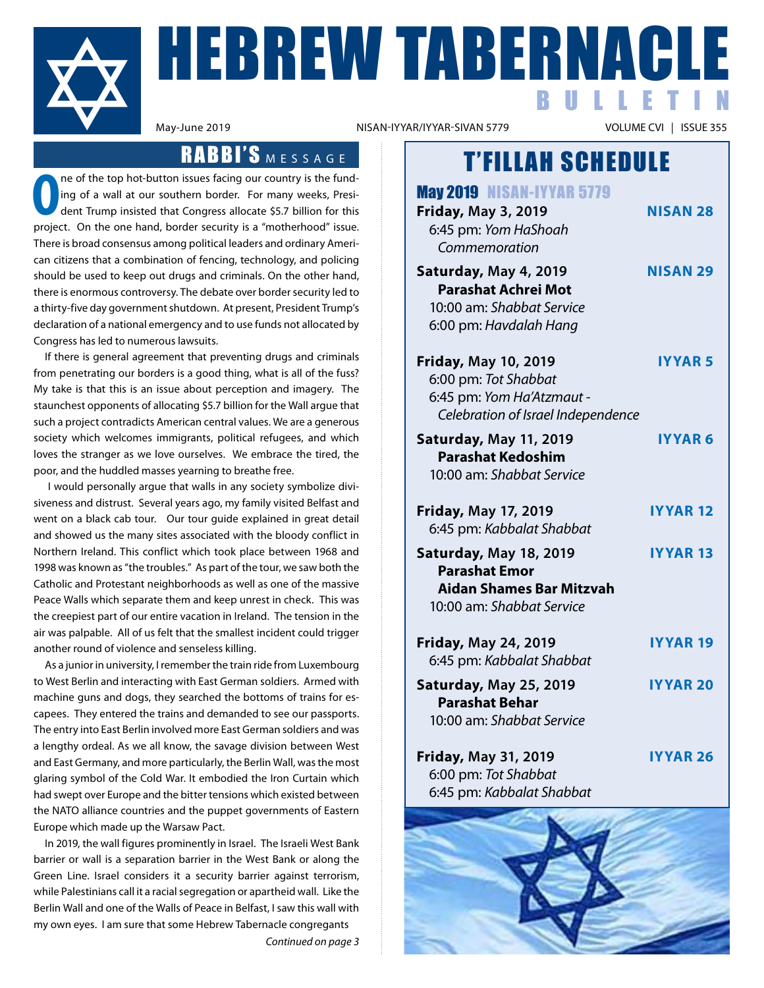

**HEBREW TABERNACLE** BULLETIN

NISAN-IYYAR/IYYAR-SIVAN 5779

### RABBI'S MESSAGE

**O** project. On the one hand, border security is a "motherhood" issue. ne of the top hot-button issues facing our country is the funding of a wall at our southern border. For many weeks, President Trump insisted that Congress allocate \$5.7 billion for this There is broad consensus among political leaders and ordinary American citizens that a combination of fencing, technology, and policing should be used to keep out drugs and criminals. On the other hand, there is enormous controversy. The debate over border security led to a thirty-five day government shutdown. At present, President Trump's declaration of a national emergency and to use funds not allocated by Congress has led to numerous lawsuits.

If there is general agreement that preventing drugs and criminals from penetrating our borders is a good thing, what is all of the fuss? My take is that this is an issue about perception and imagery. The staunchest opponents of allocating \$5.7 billion for the Wall argue that such a project contradicts American central values. We are a generous society which welcomes immigrants, political refugees, and which loves the stranger as we love ourselves. We embrace the tired, the poor, and the huddled masses yearning to breathe free.

 I would personally argue that walls in any society symbolize divisiveness and distrust. Several years ago, my family visited Belfast and went on a black cab tour. Our tour guide explained in great detail and showed us the many sites associated with the bloody conflict in Northern Ireland. This conflict which took place between 1968 and 1998 was known as "the troubles." As part of the tour, we saw both the Catholic and Protestant neighborhoods as well as one of the massive Peace Walls which separate them and keep unrest in check. This was the creepiest part of our entire vacation in Ireland. The tension in the air was palpable. All of us felt that the smallest incident could trigger another round of violence and senseless killing.

As a junior in university, I remember the train ride from Luxembourg to West Berlin and interacting with East German soldiers. Armed with machine guns and dogs, they searched the bottoms of trains for escapees. They entered the trains and demanded to see our passports. The entry into East Berlin involved more East German soldiers and was a lengthy ordeal. As we all know, the savage division between West and East Germany, and more particularly, the Berlin Wall, was the most glaring symbol of the Cold War. It embodied the Iron Curtain which had swept over Europe and the bitter tensions which existed between the NATO alliance countries and the puppet governments of Eastern Europe which made up the Warsaw Pact.

In 2019, the wall figures prominently in Israel. The Israeli West Bank barrier or wall is a separation barrier in the West Bank or along the Green Line. Israel considers it a security barrier against terrorism, while Palestinians call it a racial segregation or apartheid wall. Like the Berlin Wall and one of the Walls of Peace in Belfast, I saw this wall with my own eyes. I am sure that some Hebrew Tabernacle congregants

*Continued on page 3*

## T'FILLAH SCHEDULE

May 2019 NISAN-IYYAR 5779 **Friday, May 3, 2019 NISAN 28** 6:45 pm: *Yom HaShoah Commemoration* **Saturday, May 4, 2019 NISAN 29 Parashat Achrei Mot** 10:00 am: *Shabbat Service* 6:00 pm: *Havdalah Hang* **Friday, May 10, 2019 IYYAR 5** 6:00 pm: *Tot Shabbat* 6:45 pm: *Yom Ha'Atzmaut - Celebration of Israel Independence* **Saturday, May 11, 2019 IYYAR 6 Parashat Kedoshim** 10:00 am: *Shabbat Service* **Friday, May 17, 2019 IYYAR 12** 6:45 pm: *Kabbalat Shabbat* **Saturday, May 18, 2019 IYYAR 13 Parashat Emor Aidan Shames Bar Mitzvah** 10:00 am: *Shabbat Service* **Friday, May 24, 2019 IYYAR 19** 6:45 pm: *Kabbalat Shabbat* **Saturday, May 25, 2019 IYYAR 20 Parashat Behar** 10:00 am: *Shabbat Service* **Friday, May 31, 2019 IYYAR 26** 6:00 pm: *Tot Shabbat* 6:45 pm: *Kabbalat Shabbat*

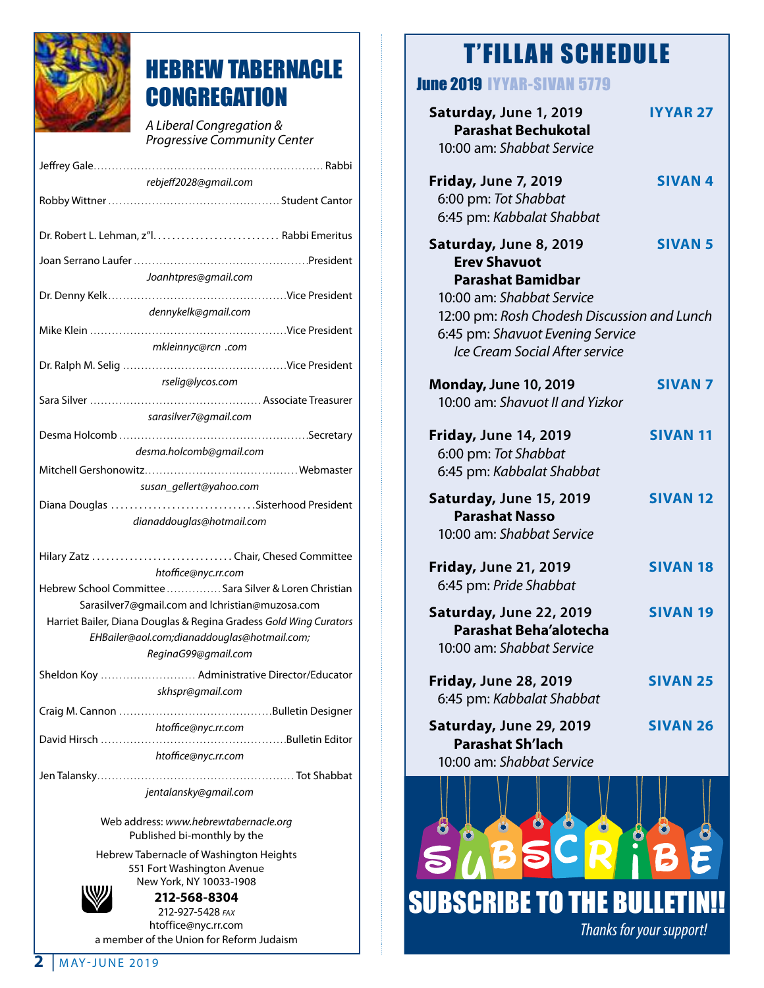

## HEBREW TABERNACLE **CONGREGATION**

*A Liberal Congregation & Progressive Community Center*

| rebjeff2028@gmail.com                                             |  |  |
|-------------------------------------------------------------------|--|--|
|                                                                   |  |  |
| Dr. Robert L. Lehman, z"l Rabbi Emeritus                          |  |  |
|                                                                   |  |  |
|                                                                   |  |  |
| Joanhtpres@gmail.com                                              |  |  |
|                                                                   |  |  |
| dennykelk@gmail.com                                               |  |  |
|                                                                   |  |  |
| mkleinnyc@rcn .com                                                |  |  |
|                                                                   |  |  |
| rselig@lycos.com                                                  |  |  |
|                                                                   |  |  |
| sarasilver7@gmail.com                                             |  |  |
|                                                                   |  |  |
| desma.holcomb@gmail.com                                           |  |  |
|                                                                   |  |  |
| susan_gellert@yahoo.com                                           |  |  |
| Diana Douglas Sisterhood President                                |  |  |
| dianaddouglas@hotmail.com                                         |  |  |
|                                                                   |  |  |
| Hilary Zatz Chair, Chesed Committee                               |  |  |
| htoffice@nyc.rr.com                                               |  |  |
| Hebrew School Committee  Sara Silver & Loren Christian            |  |  |
| Sarasilver7@gmail.com and lchristian@muzosa.com                   |  |  |
| Harriet Bailer, Diana Douglas & Regina Gradess Gold Wing Curators |  |  |
| EHBailer@aol.com;dianaddouglas@hotmail.com;                       |  |  |
| ReginaG99@gmail.com                                               |  |  |
| Sheldon Koy  Administrative Director/Educator                     |  |  |
| skhspr@gmail.com                                                  |  |  |
|                                                                   |  |  |
| htoffice@nyc.rr.com                                               |  |  |
|                                                                   |  |  |
| htoffice@nyc.rr.com                                               |  |  |
|                                                                   |  |  |
| jentalansky@gmail.com                                             |  |  |

Web address: *www.hebrewtabernacle.org* Published bi-monthly by the

Hebrew Tabernacle of Washington Heights 551 Fort Washington Avenue New York, NY 10033-1908



**212-568-8304** 212-927-5428 *fax* htoffice@nyc.rr.com a member of the Union for Reform Judaism

## T'FILLAH SCHEDULE

### June 2019 IYYAR-SIVAN 5779

| Saturday, June 1, 2019<br><b>Parashat Bechukotal</b><br>10:00 am: Shabbat Service                                 | <b>IYYAR 27</b> |
|-------------------------------------------------------------------------------------------------------------------|-----------------|
| <b>Friday, June 7, 2019</b><br>6:00 pm: Tot Shabbat<br>6:45 pm: Kabbalat Shabbat                                  | <b>SIVAN4</b>   |
| Saturday, June 8, 2019<br><b>Erev Shavuot</b><br><b>Parashat Bamidbar</b><br>10:00 am: Shabbat Service            | <b>SIVAN 5</b>  |
| 12:00 pm: Rosh Chodesh Discussion and Lunch<br>6:45 pm: Shavuot Evening Service<br>Ice Cream Social After service |                 |
| <b>Monday, June 10, 2019</b><br>10:00 am: Shavuot II and Yizkor                                                   | <b>SIVAN 7</b>  |
| <b>Friday, June 14, 2019</b><br>6:00 pm: Tot Shabbat<br>6:45 pm: Kabbalat Shabbat                                 | <b>SIVAN 11</b> |
| Saturday, June 15, 2019<br><b>Parashat Nasso</b><br>10:00 am: Shabbat Service                                     | <b>SIVAN 12</b> |
| <b>Friday, June 21, 2019</b><br>6:45 pm: Pride Shabbat                                                            | <b>SIVAN 18</b> |
| Saturday, June 22, 2019<br><b>Parashat Beha'alotecha</b><br>10:00 am: Shabbat Service                             | <b>SIVAN 19</b> |
| <b>Friday, June 28, 2019</b><br>6:45 pm: Kabbalat Shabbat                                                         | <b>SIVAN 25</b> |
| Saturday, June 29, 2019<br><b>Parashat Sh'lach</b><br>10:00 am: Shabbat Service                                   | <b>SIVAN 26</b> |

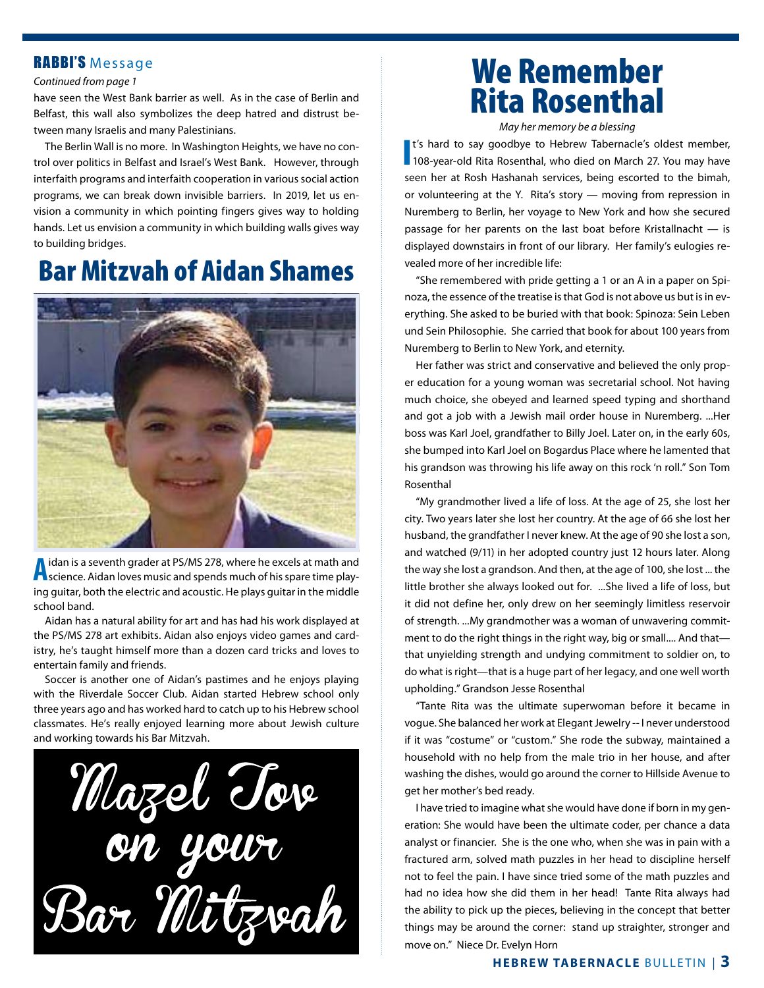### RABBI'S Message

#### *Continued from page 1*

have seen the West Bank barrier as well. As in the case of Berlin and Belfast, this wall also symbolizes the deep hatred and distrust between many Israelis and many Palestinians.

The Berlin Wall is no more. In Washington Heights, we have no control over politics in Belfast and Israel's West Bank. However, through interfaith programs and interfaith cooperation in various social action programs, we can break down invisible barriers. In 2019, let us envision a community in which pointing fingers gives way to holding hands. Let us envision a community in which building walls gives way to building bridges.

## Bar Mitzvah of Aidan Shames



A idan is a seventh grader at PS/MS 278, where he excels at math and<br>A science. Aidan loves music and spends much of his spare time playing guitar, both the electric and acoustic. He plays guitar in the middle school band.

Aidan has a natural ability for art and has had his work displayed at the PS/MS 278 art exhibits. Aidan also enjoys video games and cardistry, he's taught himself more than a dozen card tricks and loves to entertain family and friends.

Soccer is another one of Aidan's pastimes and he enjoys playing with the Riverdale Soccer Club. Aidan started Hebrew school only three years ago and has worked hard to catch up to his Hebrew school classmates. He's really enjoyed learning more about Jewish culture and working towards his Bar Mitzvah.

Mazel Tove Bar Mitzvah

## We Remember Rita Rosenthal

*May her memory be a blessing*

**I**<sup>t's</sup> hard to say goodbye to Hebrew Tabernacle's oldest member,<br>108-year-old Rita Rosenthal, who died on March 27. You may have t's hard to say goodbye to Hebrew Tabernacle's oldest member, seen her at Rosh Hashanah services, being escorted to the bimah, or volunteering at the Y. Rita's story — moving from repression in Nuremberg to Berlin, her voyage to New York and how she secured passage for her parents on the last boat before Kristallnacht — is displayed downstairs in front of our library. Her family's eulogies revealed more of her incredible life:

"She remembered with pride getting a 1 or an A in a paper on Spinoza, the essence of the treatise is that God is not above us but is in everything. She asked to be buried with that book: Spinoza: Sein Leben und Sein Philosophie. She carried that book for about 100 years from Nuremberg to Berlin to New York, and eternity.

Her father was strict and conservative and believed the only proper education for a young woman was secretarial school. Not having much choice, she obeyed and learned speed typing and shorthand and got a job with a Jewish mail order house in Nuremberg. ...Her boss was Karl Joel, grandfather to Billy Joel. Later on, in the early 60s, she bumped into Karl Joel on Bogardus Place where he lamented that his grandson was throwing his life away on this rock 'n roll." Son Tom Rosenthal

"My grandmother lived a life of loss. At the age of 25, she lost her city. Two years later she lost her country. At the age of 66 she lost her husband, the grandfather I never knew. At the age of 90 she lost a son, and watched (9/11) in her adopted country just 12 hours later. Along the way she lost a grandson. And then, at the age of 100, she lost ... the little brother she always looked out for. ...She lived a life of loss, but it did not define her, only drew on her seemingly limitless reservoir of strength. ...My grandmother was a woman of unwavering commitment to do the right things in the right way, big or small.... And that that unyielding strength and undying commitment to soldier on, to do what is right—that is a huge part of her legacy, and one well worth upholding." Grandson Jesse Rosenthal

"Tante Rita was the ultimate superwoman before it became in vogue. She balanced her work at Elegant Jewelry -- I never understood if it was "costume" or "custom." She rode the subway, maintained a household with no help from the male trio in her house, and after washing the dishes, would go around the corner to Hillside Avenue to get her mother's bed ready.

I have tried to imagine what she would have done if born in my generation: She would have been the ultimate coder, per chance a data analyst or financier. She is the one who, when she was in pain with a fractured arm, solved math puzzles in her head to discipline herself not to feel the pain. I have since tried some of the math puzzles and had no idea how she did them in her head! Tante Rita always had the ability to pick up the pieces, believing in the concept that better things may be around the corner: stand up straighter, stronger and move on." Niece Dr. Evelyn Horn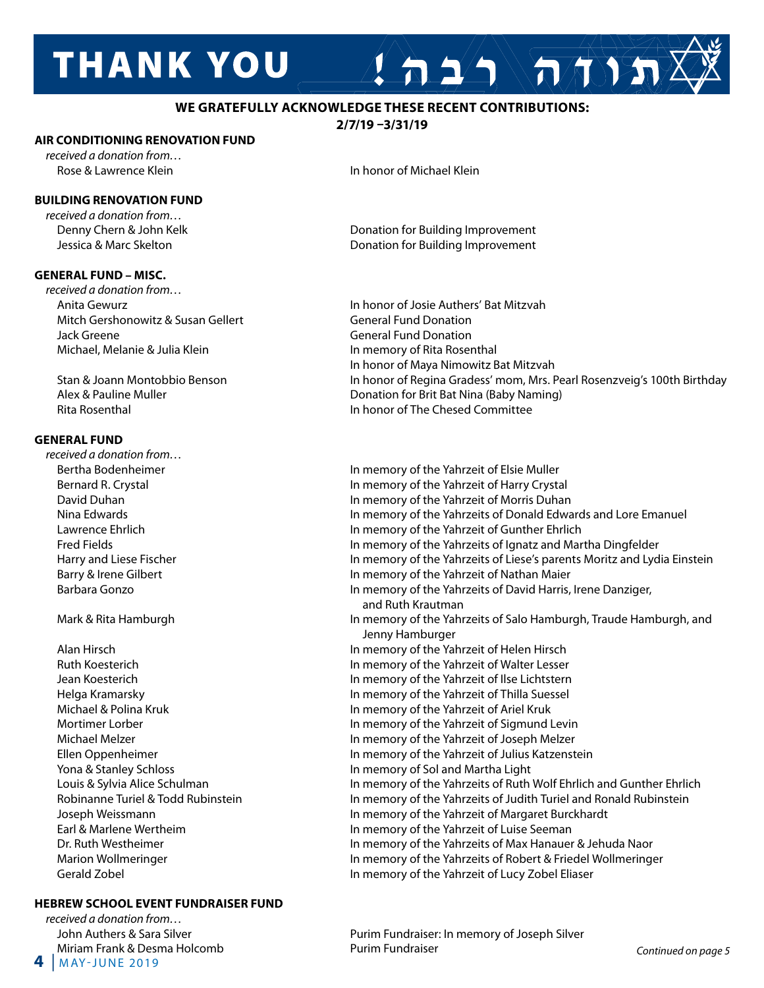# **THANK YOU**

### **WE GRATEFULLY ACKNOWLEDGE THESE RECENT CONTRIBUTIONS:**

**2/7/19 –3/31/19**

### **AIR CONDITIONING RENOVATION FUND**

*received a donation from…*

### **BUILDING RENOVATION FUND**

*received a donation from…*

### **GENERAL FUND – MISC.**

*received a donation from…* Anita Gewurz In honor of Josie Authers' Bat Mitzvah Mitch Gershonowitz & Susan Gellert General Fund Donation Jack Greene General Fund Donation Michael, Melanie & Julia Klein In memory of Rita Rosenthal

### **GENERAL FUND**

*received a donation from…*

Yona & Stanley Schloss **In memory of Sol and Martha Light** In memory of Sol and Martha Light

### **HEBREW SCHOOL EVENT FUNDRAISER FUND**

**4** | <sup>m</sup> ay-june 2019 *received a donation from…* 

Rose & Lawrence Klein **In the Union In the Union** In honor of Michael Klein

 Denny Chern & John Kelk Donation for Building Improvement Jessica & Marc Skelton **Donation for Building Improvement** 

 In honor of Maya Nimowitz Bat Mitzvah Stan & Joann Montobbio Benson In honor of Regina Gradess' mom, Mrs. Pearl Rosenzveig's 100th Birthday Alex & Pauline Muller Donation for Brit Bat Nina (Baby Naming) Rita Rosenthal In honor of The Chesed Committee

 $A 2/2 \sqrt{\pi N}$ 

Bertha Bodenheimer **In the United States In memory of the Yahrzeit of Elsie Muller** Bernard R. Crystal **In memory of the Yahrzeit of Harry Crystal**  David Duhan In memory of the Yahrzeit of Morris Duhan Nina Edwards In memory of the Yahrzeits of Donald Edwards and Lore Emanuel Lawrence Ehrlich **In memory of the Yahrzeit of Gunther Ehrlich**  Fred Fields In memory of the Yahrzeits of Ignatz and Martha Dingfelder Harry and Liese Fischer **In Marry 2006** In memory of the Yahrzeits of Liese's parents Moritz and Lydia Einstein Barry & Irene Gilbert **In Maier Communist Communist Communist** In memory of the Yahrzeit of Nathan Maier Barbara Gonzo In memory of the Yahrzeits of David Harris, Irene Danziger, and Ruth Krautman Mark & Rita Hamburgh **In memory of the Yahrzeits of Salo Hamburgh, Traude Hamburgh**, and Jenny Hamburger Alan Hirsch In memory of the Yahrzeit of Helen Hirsch Ruth Koesterich In memory of the Yahrzeit of Walter Lesser Jean Koesterich In memory of the Yahrzeit of Ilse Lichtstern Helga Kramarsky In memory of the Yahrzeit of Thilla Suessel Michael & Polina Kruk In memory of the Yahrzeit of Ariel Kruk Mortimer Lorber **In 1998** In memory of the Yahrzeit of Sigmund Levin Michael Melzer In memory of the Yahrzeit of Joseph Melzer Ellen Oppenheimer In memory of the Yahrzeit of Julius Katzenstein Louis & Sylvia Alice Schulman **In Music Schulman** In memory of the Yahrzeits of Ruth Wolf Ehrlich and Gunther Ehrlich Robinanne Turiel & Todd Rubinstein In memory of the Yahrzeits of Judith Turiel and Ronald Rubinstein Joseph Weissmann In memory of the Yahrzeit of Margaret Burckhardt Earl & Marlene Wertheim In memory of the Yahrzeit of Luise Seeman Dr. Ruth Westheimer **In memory of the Yahrzeits of Max Hanauer & Jehuda Naor** In memory of the Yahrzeits of Max Hanauer & Jehuda Naor Marion Wollmeringer **In memory of the Yahrzeits of Robert & Friedel Wollmeringer** Marion Wollmeringer Gerald Zobel In memory of the Yahrzeit of Lucy Zobel Eliaser

John Authers & Sara Silver **Purim Fundraiser: In memory of Joseph Silver** Miriam Frank & Desma Holcomb Purim Fundraiser *Continued on page 5*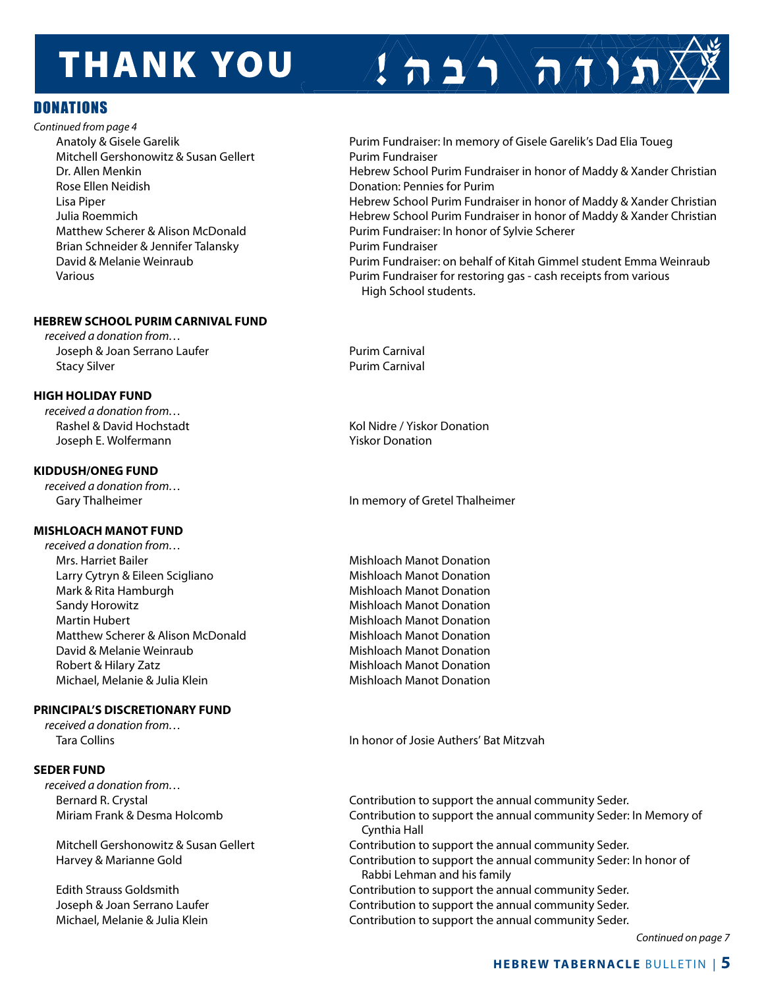# **THANK YOU**

### **DONATIONS**

*Continued from page 4* Mitchell Gershonowitz & Susan Gellert **Purim Fundraiser** Purim Fundraiser Rose Ellen Neidish **Donation: Pennies for Purim** Brian Schneider & Jennifer Talansky Purim Fundraiser

### **HEBREW SCHOOL PURIM CARNIVAL FUND**

*received a donation from…* Joseph & Joan Serrano Laufer **Purim Carnival** Stacy Silver **Purim Carnival** 

### **HIGH HOLIDAY FUND**

*received a donation from…* Rashel & David Hochstadt **Koll** Rashel & David Hochstadt Kol Nidre / Yiskor Donation Joseph E. Wolfermann Yiskor Donation

### **KIDDUSH/ONEG FUND**

*received a donation from…*

### **MISHLOACH MANOT FUND**

*received a donation from…*  Mrs. Harriet Bailer **Mishloach Manot Donation** Larry Cytryn & Eileen Scigliano **Mishloach Manot Donation** Mark & Rita Hamburgh **Mishloach Manot Donation**  Sandy Horowitz Mishloach Manot Donation Martin Hubert Mishloach Manot Donation Matthew Scherer & Alison McDonald Mishloach Manot Donation David & Melanie Weinraub **Mishloach Manot Donation** Robert & Hilary Zatz **Mishloach Manot Donation** Michael, Melanie & Julia Klein Mishloach Manot Donation

### **PRINCIPAL'S DISCRETIONARY FUND**

*received a donation from…*

### **SEDER FUND**

*received a donation from…*

Anatoly & Gisele Garelik **Purim Fundraiser: In memory of Gisele Garelik's Dad Elia Toueg** Dr. Allen Menkin **Hebrew School Purim Fundraiser in honor of Maddy & Xander Christian**  Lisa Piper Hebrew School Purim Fundraiser in honor of Maddy & Xander Christian Julia Roemmich Hebrew School Purim Fundraiser in honor of Maddy & Xander Christian Matthew Scherer & Alison McDonald **Purim Fundraiser: In honor of Sylvie Scherer**  David & Melanie Weinraub Purim Fundraiser: on behalf of Kitah Gimmel student Emma Weinraub Various Purim Fundraiser for restoring gas - cash receipts from various High School students.

 $\sum_{i=1}^{n}$ 

Gary Thalheimer **In memory of Gretel Thalheimer** In memory of Gretel Thalheimer

Tara Collins In honor of Josie Authers' Bat Mitzvah

 Bernard R. Crystal Contribution to support the annual community Seder. Miriam Frank & Desma Holcomb Contribution to support the annual community Seder: In Memory of Cynthia Hall Mitchell Gershonowitz & Susan Gellert Contribution to support the annual community Seder. Harvey & Marianne Gold Contribution to support the annual community Seder: In honor of Rabbi Lehman and his family Edith Strauss Goldsmith Contribution to support the annual community Seder. Joseph & Joan Serrano Laufer Contribution to support the annual community Seder. Michael, Melanie & Julia Klein **Contribution to support the annual community Seder.** 

 *Continued on page 7*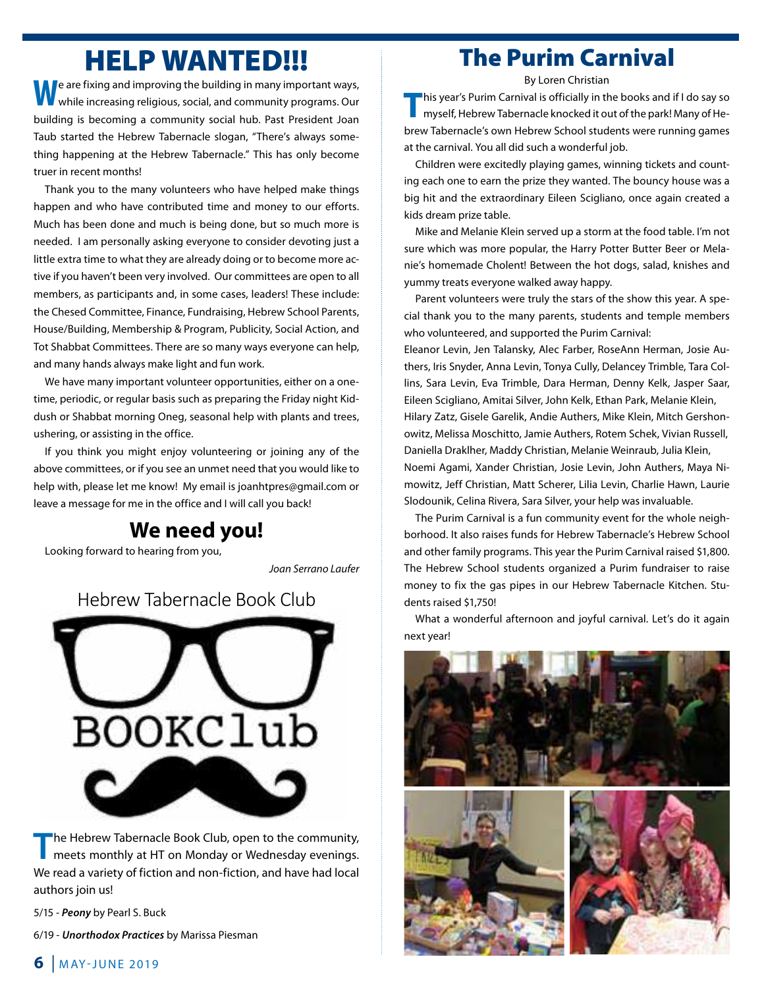## HELP WANTED!!!

**R** e are fixing and improving the building in many important ways, while increasing religious, social, and community programs. Our building is becoming a community social hub. Past President Joan Taub started the Hebrew Tabernacle slogan, "There's always something happening at the Hebrew Tabernacle." This has only become truer in recent months!

Thank you to the many volunteers who have helped make things happen and who have contributed time and money to our efforts. Much has been done and much is being done, but so much more is needed. I am personally asking everyone to consider devoting just a little extra time to what they are already doing or to become more active if you haven't been very involved. Our committees are open to all members, as participants and, in some cases, leaders! These include: the Chesed Committee, Finance, Fundraising, Hebrew School Parents, House/Building, Membership & Program, Publicity, Social Action, and Tot Shabbat Committees. There are so many ways everyone can help, and many hands always make light and fun work.

We have many important volunteer opportunities, either on a onetime, periodic, or regular basis such as preparing the Friday night Kiddush or Shabbat morning Oneg, seasonal help with plants and trees, ushering, or assisting in the office.

If you think you might enjoy volunteering or joining any of the above committees, or if you see an unmet need that you would like to help with, please let me know! My email is joanhtpres@gmail.com or leave a message for me in the office and I will call you back!

### **We need you!**

Looking forward to hearing from you,

*Joan Serrano Laufer* Hebrew Tabernacle Book Club

### Hebrew Tabernacle Book Club



**The Hebrew Tabernacle Book Club, open to the community, meets monthly at HT on Monday or Wednesday evenings.** Wednesday, March 27, 2019, 7 – 8:30 pm We read a variety of fiction and non-fiction, and have had local *The Jew Store*, by Stella Suberman (1998) **Join us for the next meeting of the Hebrew Tabernacle Book Club, open to the community.** authors join us! meets monthly at HT on Monday or Wednesday evenings.

5/15 - Peony by Pearl S. Buck

6/19 - **Unorthodox Practices** by Marissa Piesman 6/19 - *Unorthodox Practices* by Marissa Piesman

### The Purim Carnival

By Loren Christian

**T**his year's Purim Carnival is officially in the books and if I do say so myself, Hebrew Tabernacle knocked it out of the park! Many of Hebrew Tabernacle's own Hebrew School students were running games at the carnival. You all did such a wonderful job.

Children were excitedly playing games, winning tickets and counting each one to earn the prize they wanted. The bouncy house was a big hit and the extraordinary Eileen Scigliano, once again created a kids dream prize table.

Mike and Melanie Klein served up a storm at the food table. I'm not sure which was more popular, the Harry Potter Butter Beer or Melanie's homemade Cholent! Between the hot dogs, salad, knishes and yummy treats everyone walked away happy.

Parent volunteers were truly the stars of the show this year. A special thank you to the many parents, students and temple members who volunteered, and supported the Purim Carnival:

Eleanor Levin, Jen Talansky, Alec Farber, RoseAnn Herman, Josie Authers, Iris Snyder, Anna Levin, Tonya Cully, Delancey Trimble, Tara Collins, Sara Levin, Eva Trimble, Dara Herman, Denny Kelk, Jasper Saar, Eileen Scigliano, Amitai Silver, John Kelk, Ethan Park, Melanie Klein, Hilary Zatz, Gisele Garelik, Andie Authers, Mike Klein, Mitch Gershonowitz, Melissa Moschitto, Jamie Authers, Rotem Schek, Vivian Russell, Daniella Draklher, Maddy Christian, Melanie Weinraub, Julia Klein, Noemi Agami, Xander Christian, Josie Levin, John Authers, Maya Nimowitz, Jeff Christian, Matt Scherer, Lilia Levin, Charlie Hawn, Laurie Slodounik, Celina Rivera, Sara Silver, your help was invaluable.

The Purim Carnival is a fun community event for the whole neighborhood. It also raises funds for Hebrew Tabernacle's Hebrew School and other family programs. This year the Purim Carnival raised \$1,800. The Hebrew School students organized a Purim fundraiser to raise money to fix the gas pipes in our Hebrew Tabernacle Kitchen. Students raised \$1,750!

What a wonderful afternoon and joyful carnival. Let's do it again next year!



### $6$  | MAY-JUNE 2019 For a real bargain, while you're making a living, you should make also a life. --Aaron Bronson. In 1920, in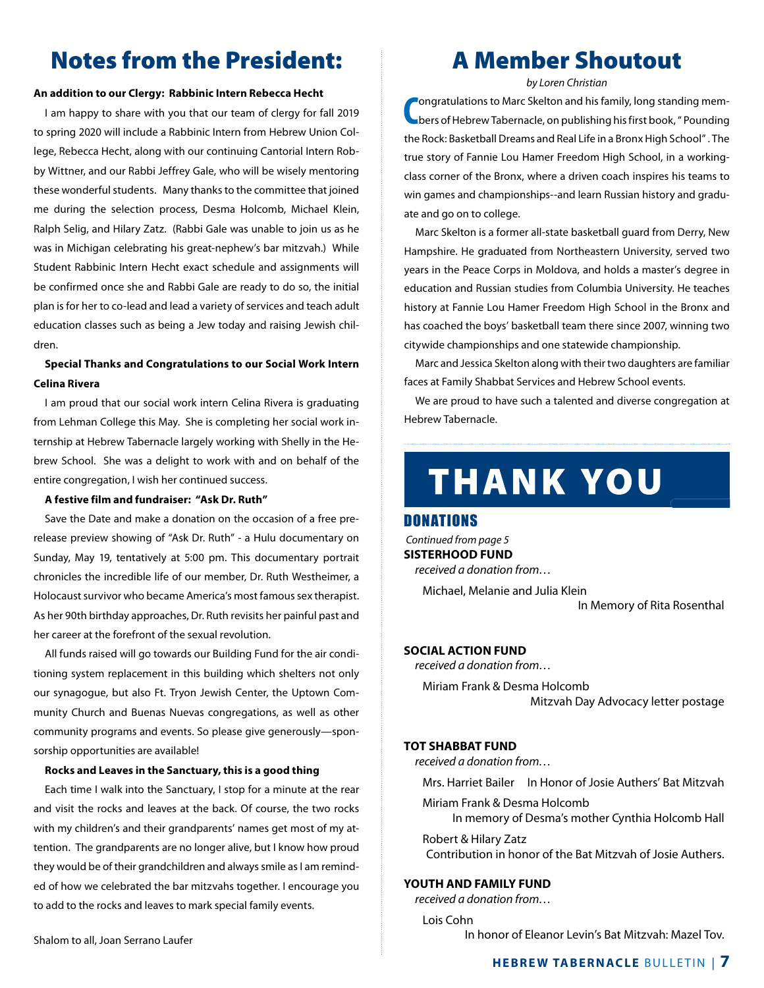## Notes from the President:

#### **An addition to our Clergy: Rabbinic Intern Rebecca Hecht**

I am happy to share with you that our team of clergy for fall 2019 to spring 2020 will include a Rabbinic Intern from Hebrew Union College, Rebecca Hecht, along with our continuing Cantorial Intern Robby Wittner, and our Rabbi Jeffrey Gale, who will be wisely mentoring these wonderful students. Many thanks to the committee that joined me during the selection process, Desma Holcomb, Michael Klein, Ralph Selig, and Hilary Zatz. (Rabbi Gale was unable to join us as he was in Michigan celebrating his great-nephew's bar mitzvah.) While Student Rabbinic Intern Hecht exact schedule and assignments will be confirmed once she and Rabbi Gale are ready to do so, the initial plan is for her to co-lead and lead a variety of services and teach adult education classes such as being a Jew today and raising Jewish children.

### **Special Thanks and Congratulations to our Social Work Intern Celina Rivera**

I am proud that our social work intern Celina Rivera is graduating from Lehman College this May. She is completing her social work internship at Hebrew Tabernacle largely working with Shelly in the Hebrew School. She was a delight to work with and on behalf of the entire congregation, I wish her continued success.

#### **A festive film and fundraiser: "Ask Dr. Ruth"**

Save the Date and make a donation on the occasion of a free prerelease preview showing of "Ask Dr. Ruth" - a Hulu documentary on Sunday, May 19, tentatively at 5:00 pm. This documentary portrait chronicles the incredible life of our member, Dr. Ruth Westheimer, a Holocaust survivor who became America's most famous sex therapist. As her 90th birthday approaches, Dr. Ruth revisits her painful past and her career at the forefront of the sexual revolution.

All funds raised will go towards our Building Fund for the air conditioning system replacement in this building which shelters not only our synagogue, but also Ft. Tryon Jewish Center, the Uptown Community Church and Buenas Nuevas congregations, as well as other community programs and events. So please give generously—sponsorship opportunities are available!

#### **Rocks and Leaves in the Sanctuary, this is a good thing**

Each time I walk into the Sanctuary, I stop for a minute at the rear and visit the rocks and leaves at the back. Of course, the two rocks with my children's and their grandparents' names get most of my attention. The grandparents are no longer alive, but I know how proud they would be of their grandchildren and always smile as I am reminded of how we celebrated the bar mitzvahs together. I encourage you to add to the rocks and leaves to mark special family events.

### A Member Shoutout

*by Loren Christian*

**C** ongratulations to Marc Skelton and his family, long standing members of Hebrew Tabernacle, on publishing his first book, " Pounding the Rock: Basketball Dreams and Real Life in a Bronx High School" . The true story of Fannie Lou Hamer Freedom High School, in a workingclass corner of the Bronx, where a driven coach inspires his teams to win games and championships--and learn Russian history and graduate and go on to college.

Marc Skelton is a former all-state basketball guard from Derry, New Hampshire. He graduated from Northeastern University, served two years in the Peace Corps in Moldova, and holds a master's degree in education and Russian studies from Columbia University. He teaches history at Fannie Lou Hamer Freedom High School in the Bronx and has coached the boys' basketball team there since 2007, winning two citywide championships and one statewide championship.

Marc and Jessica Skelton along with their two daughters are familiar faces at Family Shabbat Services and Hebrew School events.

We are proud to have such a talented and diverse congregation at Hebrew Tabernacle.

## **THANK YOU**

### Donations

 *Continued from page 5* **SISTERHOOD FUND** *received a donation from…*

Michael, Melanie and Julia Klein

In Memory of Rita Rosenthal

### **SOCIAL ACTION FUND**

*received a donation from…* Miriam Frank & Desma Holcomb Mitzvah Day Advocacy letter postage

#### **TOT SHABBAT FUND**

*received a donation from…*

Mrs. Harriet Bailer In Honor of Josie Authers' Bat Mitzvah

 Miriam Frank & Desma Holcomb In memory of Desma's mother Cynthia Holcomb Hall

 Robert & Hilary Zatz Contribution in honor of the Bat Mitzvah of Josie Authers.

### **YOUTH AND FAMILY FUND**

*received a donation from…*

 Lois Cohn In honor of Eleanor Levin's Bat Mitzvah: Mazel Tov.

### **HEBREW TABERNACLE BULLETIN | 7**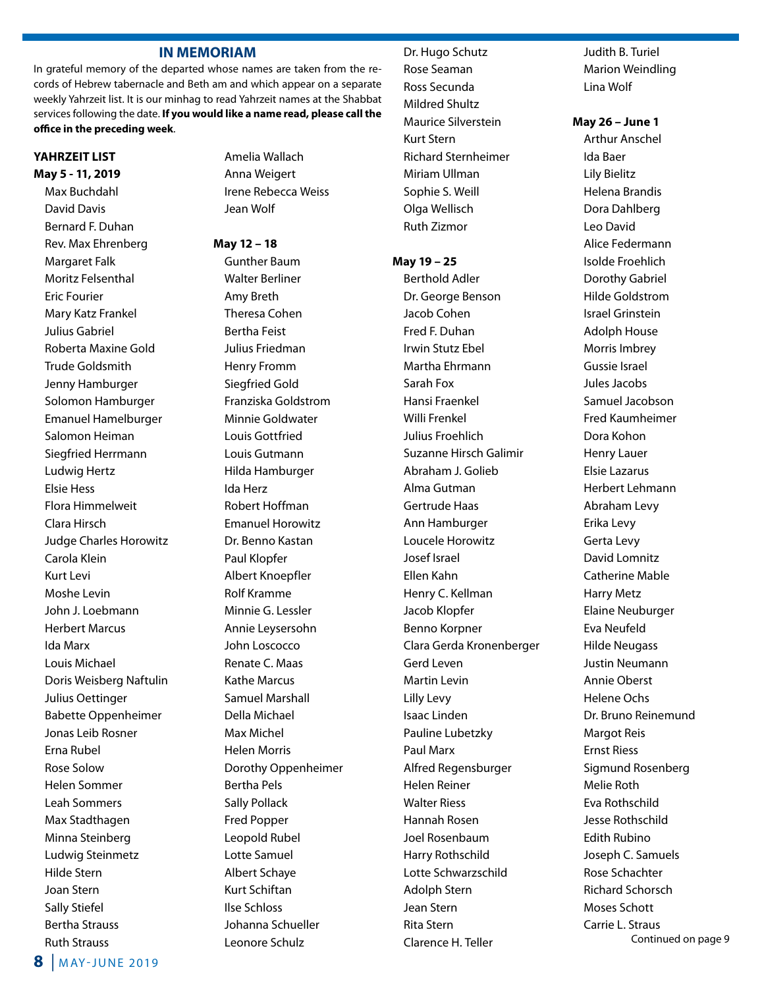### **IN MEMORIAM**

In grateful memory of the departed whose names are taken from the records of Hebrew tabernacle and Beth am and which appear on a separate weekly Yahrzeit list. It is our minhag to read Yahrzeit names at the Shabbat services following the date. **If you would like a name read, please call the office in the preceding week**.

### **YAHRZEIT LIST May 5 - 11, 2019**

Max Buchdahl David Davis Bernard F. Duhan Rev. Max Ehrenberg Margaret Falk Moritz Felsenthal Eric Fourier Mary Katz Frankel Julius Gabriel Roberta Maxine Gold Trude Goldsmith Jenny Hamburger Solomon Hamburger Emanuel Hamelburger Salomon Heiman Siegfried Herrmann Ludwig Hertz Elsie Hess Flora Himmelweit Clara Hirsch Judge Charles Horowitz Carola Klein Kurt Levi Moshe Levin John J. Loebmann Herbert Marcus Ida Marx Louis Michael Doris Weisberg Naftulin Julius Oettinger Babette Oppenheimer Jonas Leib Rosner Erna Rubel Rose Solow Helen Sommer Leah Sommers Max Stadthagen Minna Steinberg Ludwig Steinmetz Hilde Stern Joan Stern Sally Stiefel Bertha Strauss Ruth Strauss

Amelia Wallach Anna Weigert Irene Rebecca Weiss Jean Wolf

#### **May 12 – 18**

Gunther Baum Walter Berliner Amy Breth Theresa Cohen Bertha Feist Julius Friedman Henry Fromm Siegfried Gold Franziska Goldstrom Minnie Goldwater Louis Gottfried Louis Gutmann Hilda Hamburger Ida Herz Robert Hoffman Emanuel Horowitz Dr. Benno Kastan Paul Klopfer Albert Knoepfler Rolf Kramme Minnie G. Lessler Annie Leysersohn John Loscocco Renate C. Maas Kathe Marcus Samuel Marshall Della Michael Max Michel Helen Morris Dorothy Oppenheimer Bertha Pels Sally Pollack Fred Popper Leopold Rubel Lotte Samuel Albert Schaye Kurt Schiftan Ilse Schloss Johanna Schueller Leonore Schulz

### Dr. Hugo Schutz Rose Seaman Ross Secunda Mildred Shultz Maurice Silverstein Kurt Stern Richard Sternheimer Miriam Ullman Sophie S. Weill Olga Wellisch Ruth Zizmor

#### **May 19 – 25**

Berthold Adler Dr. George Benson Jacob Cohen Fred F. Duhan Irwin Stutz Ebel Martha Ehrmann Sarah Fox Hansi Fraenkel Willi Frenkel Julius Froehlich Suzanne Hirsch Galimir Abraham J. Golieb Alma Gutman Gertrude Haas Ann Hamburger Loucele Horowitz Josef Israel Ellen Kahn Henry C. Kellman Jacob Klopfer Benno Korpner Clara Gerda Kronenberger Gerd Leven Martin Levin Lilly Levy Isaac Linden Pauline Lubetzky Paul Marx Alfred Regensburger Helen Reiner Walter Riess Hannah Rosen Joel Rosenbaum Harry Rothschild Lotte Schwarzschild Adolph Stern Jean Stern Rita Stern Clarence H. Teller

Judith B. Turiel Marion Weindling Lina Wolf

### **May 26 – June 1**

Arthur Anschel Ida Baer Lily Bielitz Helena Brandis Dora Dahlberg Leo David Alice Federmann Isolde Froehlich Dorothy Gabriel Hilde Goldstrom Israel Grinstein Adolph House Morris Imbrey Gussie Israel Jules Jacobs Samuel Jacobson Fred Kaumheimer Dora Kohon Henry Lauer Elsie Lazarus Herbert Lehmann Abraham Levy Erika Levy Gerta Levy David Lomnitz Catherine Mable Harry Metz Elaine Neuburger Eva Neufeld Hilde Neugass Justin Neumann Annie Oberst Helene Ochs Dr. Bruno Reinemund Margot Reis Ernst Riess Sigmund Rosenberg Melie Roth Eva Rothschild Jesse Rothschild Edith Rubino Joseph C. Samuels Rose Schachter Richard Schorsch Moses Schott Carrie L. Straus Continued on page 9

**8** | <sup>m</sup> ay-june 2019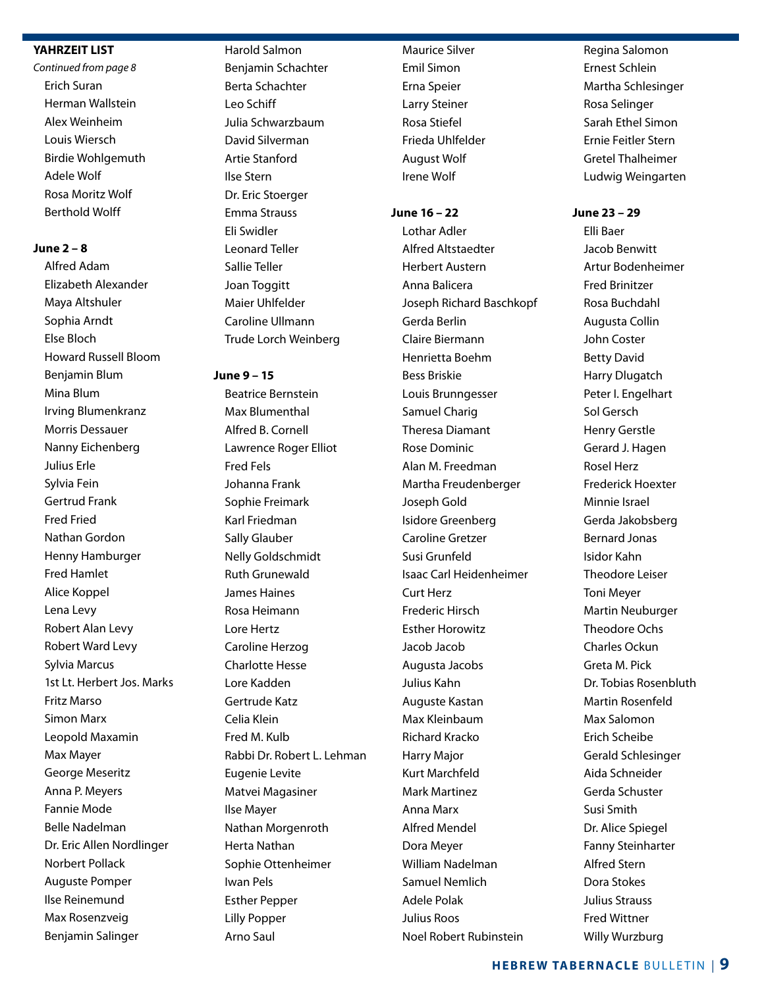### **YAHRZEIT LIST**

*Continued from page 8* Erich Suran Herman Wallstein Alex Weinheim Louis Wiersch Birdie Wohlgemuth Adele Wolf Rosa Moritz Wolf Berthold Wolff

### **June 2 – 8**

Alfred Adam Elizabeth Alexander Maya Altshuler Sophia Arndt Else Bloch Howard Russell Bloom Benjamin Blum Mina Blum Irving Blumenkranz Morris Dessauer Nanny Eichenberg Julius Erle Sylvia Fein Gertrud Frank Fred Fried Nathan Gordon Henny Hamburger Fred Hamlet Alice Koppel Lena Levy Robert Alan Levy Robert Ward Levy Sylvia Marcus 1st Lt. Herbert Jos. Marks Fritz Marso Simon Marx Leopold Maxamin Max Mayer George Meseritz Anna P. Meyers Fannie Mode Belle Nadelman Dr. Eric Allen Nordlinger Norbert Pollack Auguste Pomper Ilse Reinemund Max Rosenzveig Benjamin Salinger

### Harold Salmon

Benjamin Schachter Berta Schachter Leo Schiff Julia Schwarzbaum David Silverman Artie Stanford Ilse Stern Dr. Eric Stoerger Emma Strauss Eli Swidler Leonard Teller Sallie Teller Joan Toggitt Maier Uhlfelder Caroline Ullmann Trude Lorch Weinberg

#### **June 9 – 15**

Beatrice Bernstein Max Blumenthal Alfred B. Cornell Lawrence Roger Elliot Fred Fels Johanna Frank Sophie Freimark Karl Friedman Sally Glauber Nelly Goldschmidt Ruth Grunewald James Haines Rosa Heimann Lore Hertz Caroline Herzog Charlotte Hesse Lore Kadden Gertrude Katz Celia Klein Fred M. Kulb Rabbi Dr. Robert L. Lehman Eugenie Levite Matvei Magasiner Ilse Mayer Nathan Morgenroth Herta Nathan Sophie Ottenheimer Iwan Pels Esther Pepper Lilly Popper Arno Saul

Maurice Silver Emil Simon Erna Speier Larry Steiner Rosa Stiefel Frieda Uhlfelder August Wolf Irene Wolf

### **June 16 – 22**

Lothar Adler Alfred Altstaedter Herbert Austern Anna Balicera Joseph Richard Baschkopf Gerda Berlin Claire Biermann Henrietta Boehm Bess Briskie Louis Brunngesser Samuel Charig Theresa Diamant Rose Dominic Alan M. Freedman Martha Freudenberger Joseph Gold Isidore Greenberg Caroline Gretzer Susi Grunfeld Isaac Carl Heidenheimer Curt Herz Frederic Hirsch Esther Horowitz Jacob Jacob Augusta Jacobs Julius Kahn Auguste Kastan Max Kleinbaum Richard Kracko Harry Major Kurt Marchfeld Mark Martinez Anna Marx Alfred Mendel Dora Meyer William Nadelman Samuel Nemlich Adele Polak Julius Roos Noel Robert Rubinstein

Regina Salomon Ernest Schlein Martha Schlesinger Rosa Selinger Sarah Ethel Simon Ernie Feitler Stern Gretel Thalheimer Ludwig Weingarten

### **June 23 – 29**

Elli Baer Jacob Benwitt Artur Bodenheimer Fred Brinitzer Rosa Buchdahl Augusta Collin John Coster Betty David Harry Dlugatch Peter I. Engelhart Sol Gersch Henry Gerstle Gerard J. Hagen Rosel Herz Frederick Hoexter Minnie Israel Gerda Jakobsberg Bernard Jonas Isidor Kahn Theodore Leiser Toni Meyer Martin Neuburger Theodore Ochs Charles Ockun Greta M. Pick Dr. Tobias Rosenbluth Martin Rosenfeld Max Salomon Erich Scheibe Gerald Schlesinger Aida Schneider Gerda Schuster Susi Smith Dr. Alice Spiegel Fanny Steinharter Alfred Stern Dora Stokes Julius Strauss Fred Wittner Willy Wurzburg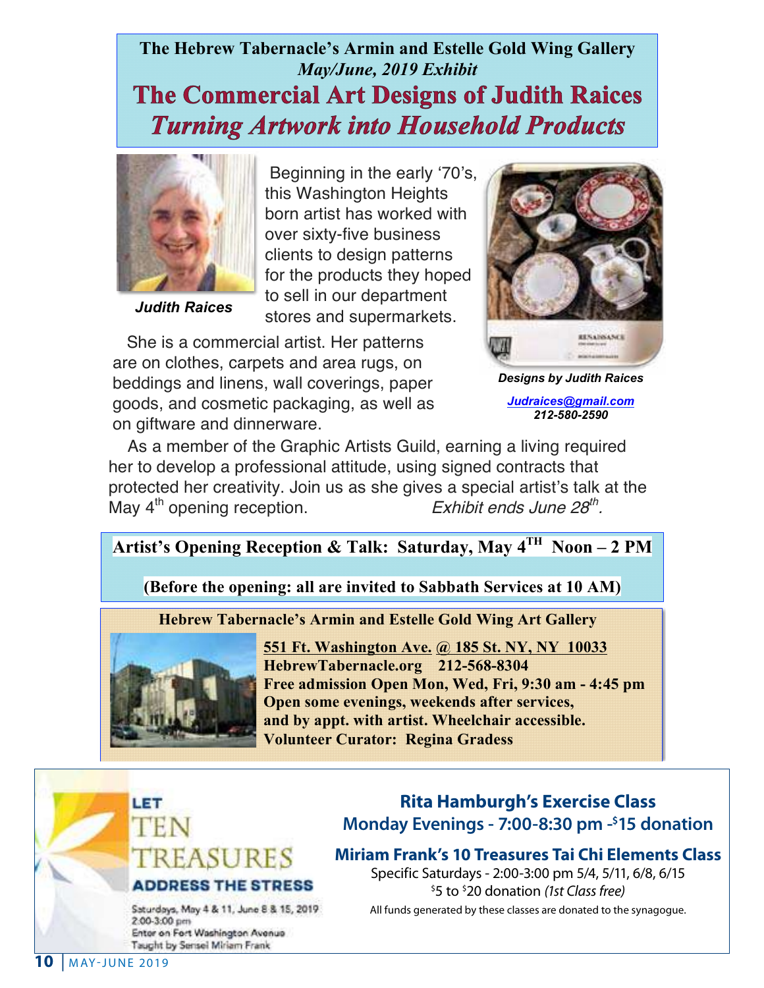### **The Hebrew Tabernacle's Armin and Estelle Gold Wing Gallery** *May/June, 2019 Exhibit* **The Commercial Art Designs of Judith Raices Turning Artwork into Household Products**



 *Judith Raices*

Beginning in the early '70's, this Washington Heights born artist has worked with over sixty-five business clients to design patterns for the products they hoped to sell in our department stores and supermarkets.

 She is a commercial artist. Her patterns are on clothes, carpets and area rugs, on beddings and linens, wall coverings, paper goods, and cosmetic packaging, as well as on giftware and dinnerware.



*Designs by Judith Raices*

*Judraices@gmail.com 212-580-2590*

 As a member of the Graphic Artists Guild, earning a living required her to develop a professional attitude, using signed contracts that protected her creativity. Join us as she gives a special artist's talk at the May  $4^{\text{th}}$  opening reception.<br>Exhibit ends June 28<sup>th</sup>. May  $4<sup>th</sup>$  opening reception.

### **Artist's Opening Reception & Talk: Saturday, May 4TH Noon – 2 PM**

**(Before the opening: all are invited to Sabbath Services at 10 AM)**

### **Hebrew Tabernacle's Armin and Estelle Gold Wing Art Gallery**



**551 Ft. Washington Ave. @ 185 St. NY, NY 10033 HebrewTabernacle.org 212-568-8304 Free admission Open Mon, Wed, Fri, 9:30 am - 4:45 pm Open some evenings, weekends after services, and by appt. with artist. Wheelchair accessible. Volunteer Curator: Regina Gradess**

## LET EASURES **ADDRESS THE STRESS**

Saturdays, May 4 & 11, June 8 & 15, 2019 2:00-3:00 pm Enter on Fort Washington Avenue Taught by Sensei Miriam Frank

### **Rita Hamburgh's Exercise Class Monday Evenings - 7:00-8:30 pm -\$ 15 donation**

**Miriam Frank's 10 Treasures Tai Chi Elements Class**

Specific Saturdays - 2:00-3:00 pm 5/4, 5/11, 6/8, 6/15 \$ 5 to \$ 20 donation *(1st Class free)* All funds generated by these classes are donated to the synagogue.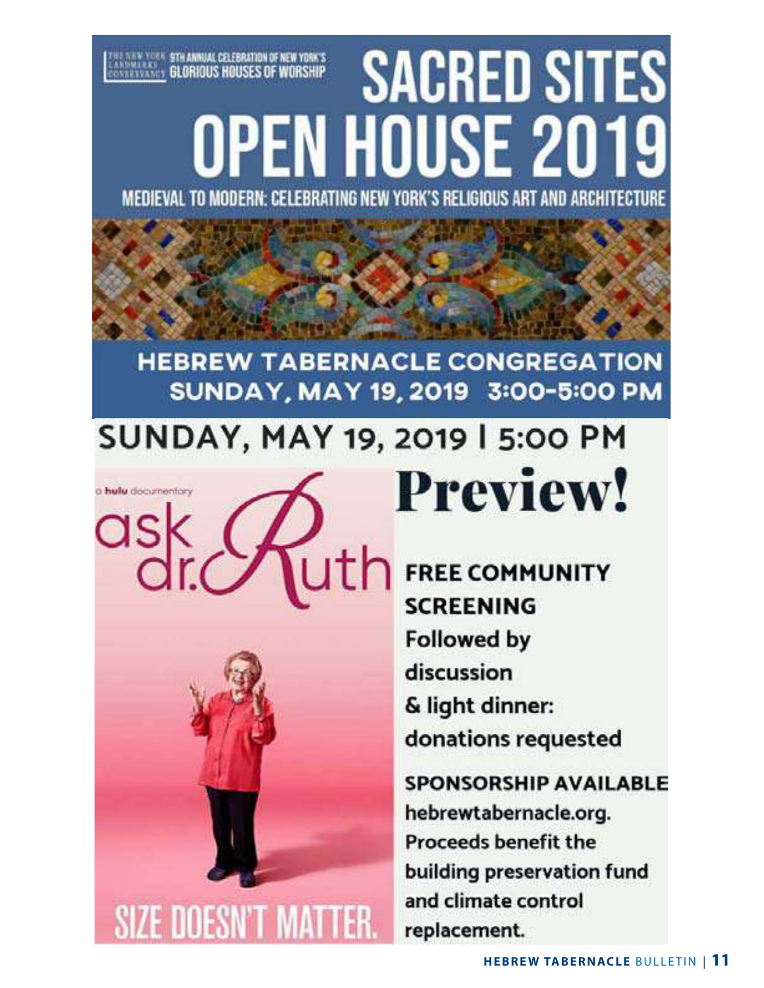# **SACRED SITES** *EXERCISE STRANNIAL CELEBRATION OF NEW YORK'S*<br>Assembly Strand Glorious Houses of Worship OPEN HOUSE 2019 MEDIEVAL TO MODERN: CELEBRATING NEW YORK'S RELIGIOUS ART AND ARCHITECTURE

## **HEBREW TABERNACLE CONGREGATION** SUNDAY, MAY 19, 2019 3:00-5:00 PM

# **SUNDAY, MAY 19, 2019 | 5:00 PM Preview!**

a hulu documentary

ask uth



## **FREE COMMUNITY SCREENING Followed by** discussion & light dinner: donations requested

**SPONSORSHIP AVAILABLE** hebrewtabernacle.org. **Proceeds benefit the** building preservation fund and climate control replacement.